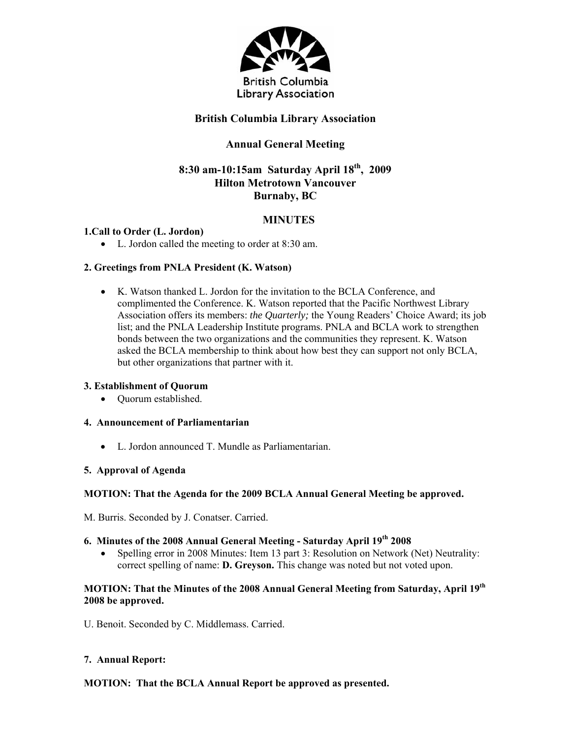

## **British Columbia Library Association**

# **Annual General Meeting**

## **8:30 am-10:15am Saturday April 18th, 2009 Hilton Metrotown Vancouver Burnaby, BC**

## **MINUTES**

## **1.Call to Order (L. Jordon)**

L. Jordon called the meeting to order at 8:30 am.

## **2. Greetings from PNLA President (K. Watson)**

 K. Watson thanked L. Jordon for the invitation to the BCLA Conference, and complimented the Conference. K. Watson reported that the Pacific Northwest Library Association offers its members: *the Quarterly;* the Young Readers' Choice Award; its job list; and the PNLA Leadership Institute programs. PNLA and BCLA work to strengthen bonds between the two organizations and the communities they represent. K. Watson asked the BCLA membership to think about how best they can support not only BCLA, but other organizations that partner with it.

#### **3. Establishment of Quorum**

• Ouorum established.

## **4. Announcement of Parliamentarian**

L. Jordon announced T. Mundle as Parliamentarian.

#### **5. Approval of Agenda**

#### **MOTION: That the Agenda for the 2009 BCLA Annual General Meeting be approved.**

M. Burris. Seconded by J. Conatser. Carried.

## **6. Minutes of the 2008 Annual General Meeting - Saturday April 19th 2008**

 Spelling error in 2008 Minutes: Item 13 part 3: Resolution on Network (Net) Neutrality: correct spelling of name: **D. Greyson.** This change was noted but not voted upon.

## **MOTION: That the Minutes of the 2008 Annual General Meeting from Saturday, April 19th 2008 be approved.**

U. Benoit. Seconded by C. Middlemass. Carried.

#### **7. Annual Report:**

## **MOTION: That the BCLA Annual Report be approved as presented.**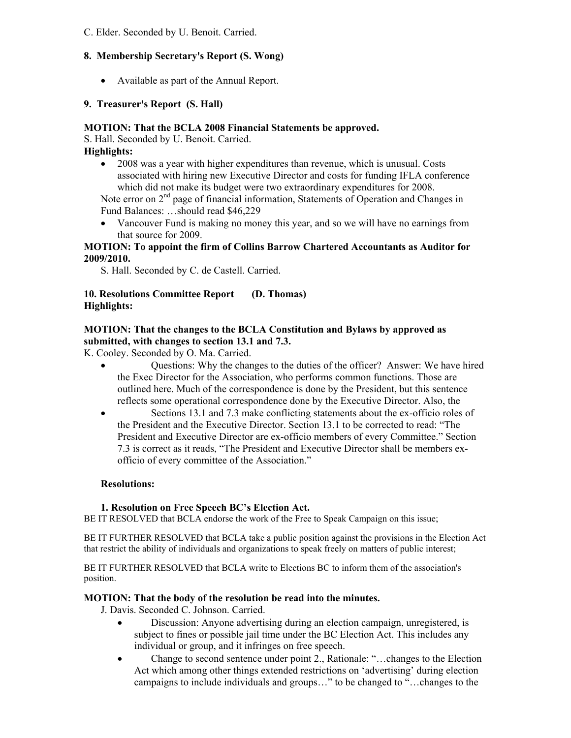C. Elder. Seconded by U. Benoit. Carried.

## **8. Membership Secretary's Report (S. Wong)**

Available as part of the Annual Report.

### **9. Treasurer's Report (S. Hall)**

### **MOTION: That the BCLA 2008 Financial Statements be approved.**

S. Hall. Seconded by U. Benoit. Carried.

**Highlights:** 

 2008 was a year with higher expenditures than revenue, which is unusual. Costs associated with hiring new Executive Director and costs for funding IFLA conference which did not make its budget were two extraordinary expenditures for 2008.

Note error on 2<sup>nd</sup> page of financial information, Statements of Operation and Changes in Fund Balances: …should read \$46,229

 Vancouver Fund is making no money this year, and so we will have no earnings from that source for 2009.

## **MOTION: To appoint the firm of Collins Barrow Chartered Accountants as Auditor for 2009/2010.**

S. Hall. Seconded by C. de Castell. Carried.

### **10. Resolutions Committee Report (D. Thomas) Highlights:**

## **MOTION: That the changes to the BCLA Constitution and Bylaws by approved as submitted, with changes to section 13.1 and 7.3.**

K. Cooley. Seconded by O. Ma. Carried.

- Questions: Why the changes to the duties of the officer? Answer: We have hired the Exec Director for the Association, who performs common functions. Those are outlined here. Much of the correspondence is done by the President, but this sentence reflects some operational correspondence done by the Executive Director. Also, the
- Sections 13.1 and 7.3 make conflicting statements about the ex-officio roles of the President and the Executive Director. Section 13.1 to be corrected to read: "The President and Executive Director are ex-officio members of every Committee." Section 7.3 is correct as it reads, "The President and Executive Director shall be members exofficio of every committee of the Association."

### **Resolutions:**

#### **1. Resolution on Free Speech BC's Election Act.**

BE IT RESOLVED that BCLA endorse the work of the Free to Speak Campaign on this issue;

BE IT FURTHER RESOLVED that BCLA take a public position against the provisions in the Election Act that restrict the ability of individuals and organizations to speak freely on matters of public interest;

BE IT FURTHER RESOLVED that BCLA write to Elections BC to inform them of the association's position.

#### **MOTION: That the body of the resolution be read into the minutes.**

- J. Davis. Seconded C. Johnson. Carried.
	- Discussion: Anyone advertising during an election campaign, unregistered, is subject to fines or possible jail time under the BC Election Act. This includes any individual or group, and it infringes on free speech.
	- Change to second sentence under point 2., Rationale: "…changes to the Election Act which among other things extended restrictions on 'advertising' during election campaigns to include individuals and groups…" to be changed to "…changes to the